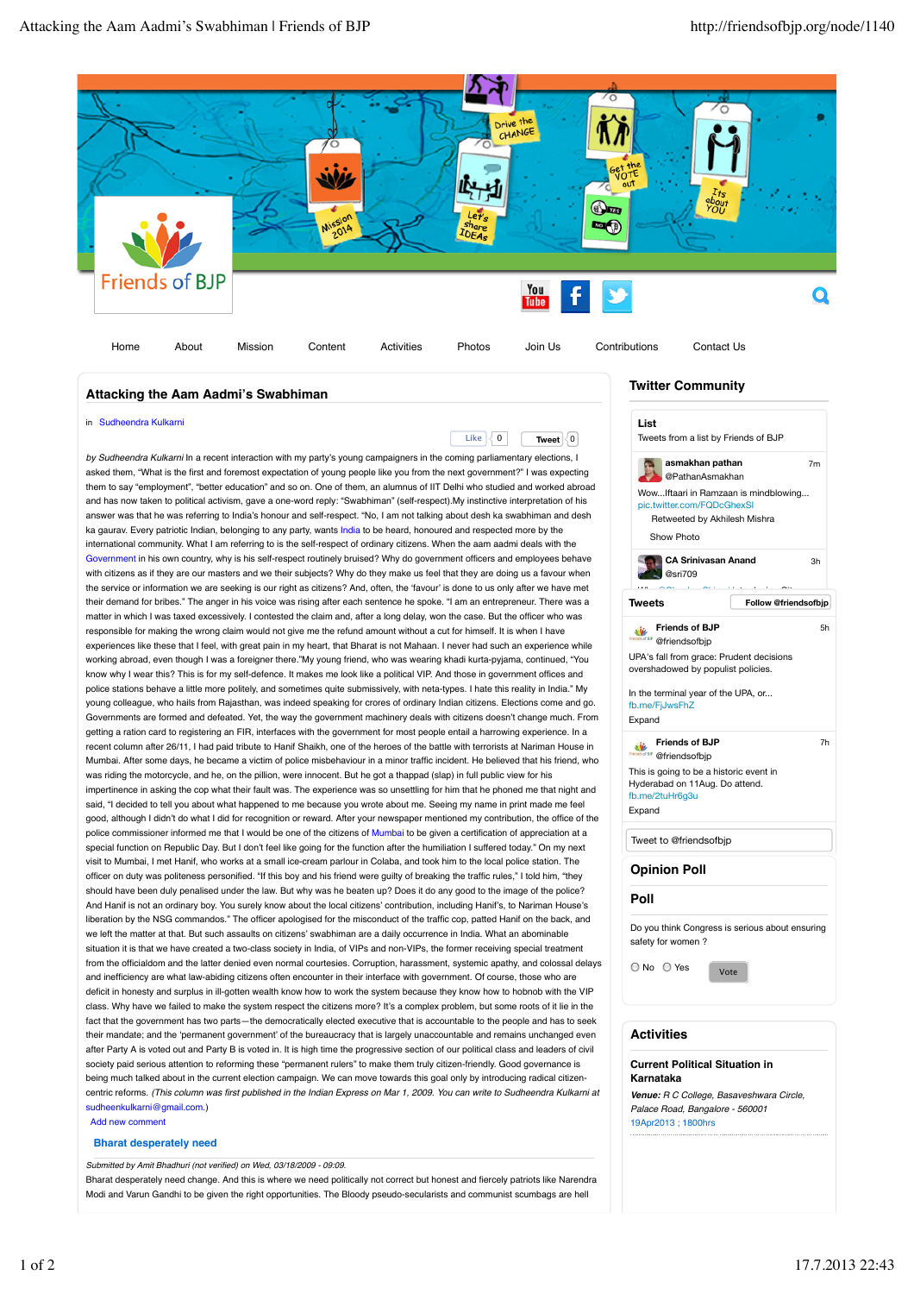

## **Attacking the Aam Aadmi's Swabhiman**

in Sudheendra Kulkarni

Like 0 **Tweet** 0 *by Sudheendra Kulkarni* In a recent interaction with my party's young campaigners in the coming parliamentary elections, I asked them, "What is the first and foremost expectation of young people like you from the next government?" I was expecting them to say "employment", "better education" and so on. One of them, an alumnus of IIT Delhi who studied and worked abroad and has now taken to political activism, gave a one-word reply: "Swabhiman" (self-respect).My instinctive interpretation of his answer was that he was referring to India's honour and self-respect. "No, I am not talking about desh ka swabhiman and desh ka gaurav. Every patriotic Indian, belonging to any party, wants India to be heard, honoured and respected more by the international community. What I am referring to is the self-respect of ordinary citizens. When the aam aadmi deals with the Government in his own country, why is his self-respect routinely bruised? Why do government officers and employees behave with citizens as if they are our masters and we their subjects? Why do they make us feel that they are doing us a favour when the service or information we are seeking is our right as citizens? And, often, the ʻfavour' is done to us only after we have met their demand for bribes." The anger in his voice was rising after each sentence he spoke. "I am an entrepreneur. There was a matter in which I was taxed excessively. I contested the claim and, after a long delay, won the case. But the officer who was responsible for making the wrong claim would not give me the refund amount without a cut for himself. It is when I have experiences like these that I feel, with great pain in my heart, that Bharat is not Mahaan. I never had such an experience while working abroad, even though I was a foreigner there."My young friend, who was wearing khadi kurta-pyjama, continued, "You know why I wear this? This is for my self-defence. It makes me look like a political VIP. And those in government offices and police stations behave a little more politely, and sometimes quite submissively, with neta-types. I hate this reality in India." My young colleague, who hails from Rajasthan, was indeed speaking for crores of ordinary Indian citizens. Elections come and go. Governments are formed and defeated. Yet, the way the government machinery deals with citizens doesn't change much. From getting a ration card to registering an FIR, interfaces with the government for most people entail a harrowing experience. In a recent column after 26/11, I had paid tribute to Hanif Shaikh, one of the heroes of the battle with terrorists at Nariman House in Mumbai. After some days, he became a victim of police misbehaviour in a minor traffic incident. He believed that his friend, who was riding the motorcycle, and he, on the pillion, were innocent. But he got a thappad (slap) in full public view for his impertinence in asking the cop what their fault was. The experience was so unsettling for him that he phoned me that night and said, "I decided to tell you about what happened to me because you wrote about me. Seeing my name in print made me feel good, although I didn't do what I did for recognition or reward. After your newspaper mentioned my contribution, the office of the police commissioner informed me that I would be one of the citizens of Mumbai to be given a certification of appreciation at a special function on Republic Day. But I don't feel like going for the function after the humiliation I suffered today." On my next visit to Mumbai, I met Hanif, who works at a small ice-cream parlour in Colaba, and took him to the local police station. The officer on duty was politeness personified. "If this boy and his friend were guilty of breaking the traffic rules," I told him, "they should have been duly penalised under the law. But why was he beaten up? Does it do any good to the image of the police? And Hanif is not an ordinary boy. You surely know about the local citizens' contribution, including Hanif's, to Nariman House's liberation by the NSG commandos." The officer apologised for the misconduct of the traffic cop, patted Hanif on the back, and we left the matter at that. But such assaults on citizens' swabhiman are a daily occurrence in India. What an abominable situation it is that we have created a two-class society in India, of VIPs and non-VIPs, the former receiving special treatment from the officialdom and the latter denied even normal courtesies. Corruption, harassment, systemic apathy, and colossal delays and inefficiency are what law-abiding citizens often encounter in their interface with government. Of course, those who are deficit in honesty and surplus in ill-gotten wealth know how to work the system because they know how to hobnob with the VIP class. Why have we failed to make the system respect the citizens more? It's a complex problem, but some roots of it lie in the fact that the government has two parts—the democratically elected executive that is accountable to the people and has to seek their mandate; and the ʻpermanent government' of the bureaucracy that is largely unaccountable and remains unchanged even after Party A is voted out and Party B is voted in. It is high time the progressive section of our political class and leaders of civil society paid serious attention to reforming these "permanent rulers" to make them truly citizen-friendly. Good governance is being much talked about in the current election campaign. We can move towards this goal only by introducing radical citizencentric reforms. *(This column was first published in the Indian Express on Mar 1, 2009. You can write to Sudheendra Kulkarni at* sudheenkulkarni@gmail.com.)

#### Add new comment

### **Bharat desperately need**

*Submitted by Amit Bhadhuri (not verified) on Wed, 03/18/2009 - 09:09.*

Bharat desperately need change. And this is where we need politically not correct but honest and fiercely patriots like Narendra Modi and Varun Gandhi to be given the right opportunities. The Bloody pseudo-secularists and communist scumbags are hell

# **Twitter Community**



## **Activities**

**Current Political Situation in Karnataka**

*Venue: R C College, Basaveshwara Circle, Palace Road, Bangalore - 560001* 19Apr2013 ; 1800hrs